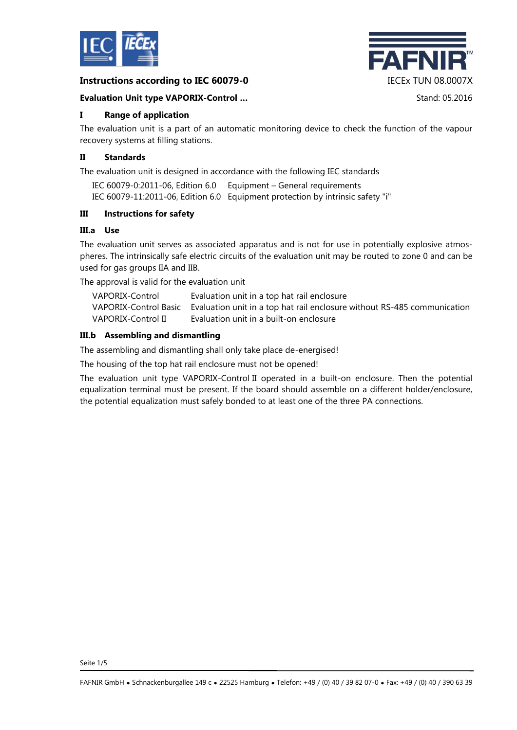

## **Instructions according to IEC 60079-0** IECEx TUN 08.0007X



#### **Evaluation Unit type VAPORIX-Control ...** Stand: 05.2016

## **I Range of application**

The evaluation unit is a part of an automatic monitoring device to check the function of the vapour recovery systems at filling stations.

### **II Standards**

The evaluation unit is designed in accordance with the following IEC standards

| IEC 60079-0:2011-06, Edition 6.0 Equipment – General requirements              |
|--------------------------------------------------------------------------------|
| IEC 60079-11:2011-06, Edition 6.0 Equipment protection by intrinsic safety "i" |

## **III Instructions for safety**

## **III.a Use**

The evaluation unit serves as associated apparatus and is not for use in potentially explosive atmospheres. The intrinsically safe electric circuits of the evaluation unit may be routed to zone 0 and can be used for gas groups IIA and IIB.

The approval is valid for the evaluation unit

| VAPORIX-Control    | Evaluation unit in a top hat rail enclosure                                                    |
|--------------------|------------------------------------------------------------------------------------------------|
|                    | VAPORIX-Control Basic Evaluation unit in a top hat rail enclosure without RS-485 communication |
| VAPORIX-Control II | Evaluation unit in a built-on enclosure                                                        |

## **III.b Assembling and dismantling**

The assembling and dismantling shall only take place de-energised!

The housing of the top hat rail enclosure must not be opened!

The evaluation unit type VAPORIX-Control II operated in a built-on enclosure. Then the potential equalization terminal must be present. If the board should assemble on a different holder/enclosure, the potential equalization must safely bonded to at least one of the three PA connections.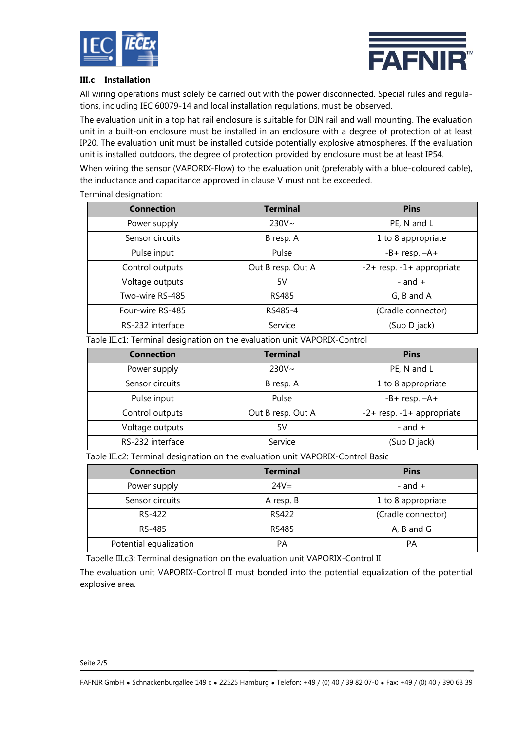



#### **III.c Installation**

All wiring operations must solely be carried out with the power disconnected. Special rules and regulations, including IEC 60079-14 and local installation regulations, must be observed.

The evaluation unit in a top hat rail enclosure is suitable for DIN rail and wall mounting. The evaluation unit in a built-on enclosure must be installed in an enclosure with a degree of protection of at least IP20. The evaluation unit must be installed outside potentially explosive atmospheres. If the evaluation unit is installed outdoors, the degree of protection provided by enclosure must be at least IP54.

When wiring the sensor (VAPORIX-Flow) to the evaluation unit (preferably with a blue-coloured cable), the inductance and capacitance approved in clause V must not be exceeded.

#### Terminal designation:

| <b>Connection</b> | <b>Terminal</b>   | <b>Pins</b>               |  |
|-------------------|-------------------|---------------------------|--|
| Power supply      | $230V \sim$       | PE, N and L               |  |
| Sensor circuits   | B resp. A         | 1 to 8 appropriate        |  |
| Pulse input       | Pulse             | $-B+$ resp. $-A+$         |  |
| Control outputs   | Out B resp. Out A | -2+ resp. -1+ appropriate |  |
| Voltage outputs   | 5V                | - and $+$                 |  |
| Two-wire RS-485   | <b>RS485</b>      | G, B and A                |  |
| Four-wire RS-485  | RS485-4           | (Cradle connector)        |  |
| RS-232 interface  | Service           | (Sub D jack)              |  |

Table III.c1: Terminal designation on the evaluation unit VAPORIX-Control

| <b>Connection</b> | <b>Terminal</b>   | <b>Pins</b>                     |  |
|-------------------|-------------------|---------------------------------|--|
| Power supply      | $230V \sim$       | PE, N and L                     |  |
| Sensor circuits   | B resp. A         | 1 to 8 appropriate              |  |
| Pulse input       | Pulse             | $-B+$ resp. $-A+$               |  |
| Control outputs   | Out B resp. Out A | $-2$ + resp. $-1$ + appropriate |  |
| Voltage outputs   | 5V                | - and $+$                       |  |
| RS-232 interface  | Service           | (Sub D jack)                    |  |

Table III.c2: Terminal designation on the evaluation unit VAPORIX-Control Basic

| <b>Connection</b>      | <b>Terminal</b> | <b>Pins</b>        |  |
|------------------------|-----------------|--------------------|--|
| Power supply           | $24V =$         | - and $+$          |  |
| Sensor circuits        | A resp. B       | 1 to 8 appropriate |  |
| RS-422                 | RS422           | (Cradle connector) |  |
| RS-485                 | <b>RS485</b>    | A, B and G         |  |
| Potential equalization | PА              | PA                 |  |

Tabelle III.c3: Terminal designation on the evaluation unit VAPORIX-Control II

The evaluation unit VAPORIX-Control II must bonded into the potential equalization of the potential explosive area.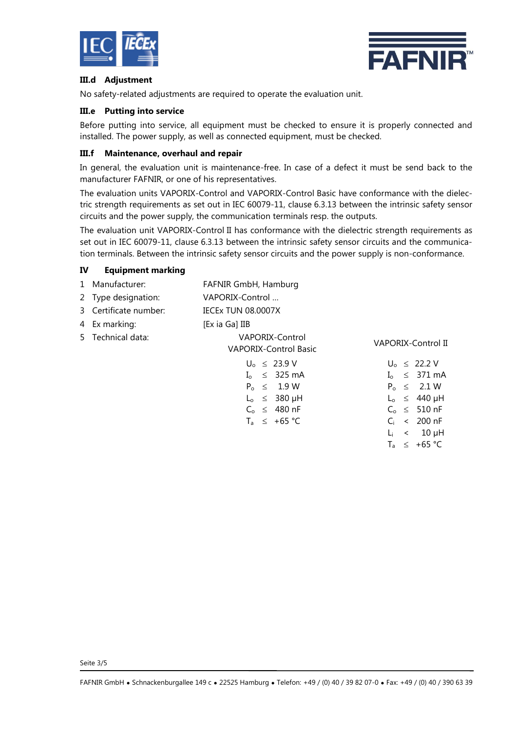



L<sup>i</sup> < 10 µH  $T_a \leq +65$  °C

## **III.d Adjustment**

No safety-related adjustments are required to operate the evaluation unit.

## **III.e Putting into service**

Before putting into service, all equipment must be checked to ensure it is properly connected and installed. The power supply, as well as connected equipment, must be checked.

## **III.f Maintenance, overhaul and repair**

In general, the evaluation unit is maintenance-free. In case of a defect it must be send back to the manufacturer FAFNIR, or one of his representatives.

The evaluation units VAPORIX-Control and VAPORIX-Control Basic have conformance with the dielectric strength requirements as set out in IEC 60079-11, clause 6.3.13 between the intrinsic safety sensor circuits and the power supply, the communication terminals resp. the outputs.

The evaluation unit VAPORIX-Control II has conformance with the dielectric strength requirements as set out in IEC 60079-11, clause 6.3.13 between the intrinsic safety sensor circuits and the communication terminals. Between the intrinsic safety sensor circuits and the power supply is non-conformance.

## **IV Equipment marking**

| 1 Manufacturer:       |                                                 | FAFNIR GmbH, Hamburg      |  |  |  |
|-----------------------|-------------------------------------------------|---------------------------|--|--|--|
| 2 Type designation:   | VAPORIX-Control                                 |                           |  |  |  |
| 3 Certificate number: | <b>IECEX TUN 08.0007X</b>                       |                           |  |  |  |
| 4 Ex marking:         | [Ex ia Ga] IIB                                  |                           |  |  |  |
| 5 Technical data:     | VAPORIX-Control<br><b>VAPORIX-Control Basic</b> | VAPORIX-Control II        |  |  |  |
|                       | $U_0 \leq 23.9 V$                               | $U_0 \leq 22.2 V$         |  |  |  |
|                       | $I_0 \leq 325 \text{ mA}$                       | $I_0 \leq 371 \text{ mA}$ |  |  |  |
|                       | $P_0 \leq 1.9 W$                                | $P_0 \leq 2.1 W$          |  |  |  |
|                       | $L_0 \leq 380 \mu H$                            | $L_0 \leq 440 \mu H$      |  |  |  |
|                       | $C_0 \leq 480$ nF                               | $C_0 \leq 510$ nF         |  |  |  |
|                       | $T_a \leq +65 \degree C$                        | $\leq 200$ nF<br>Сi       |  |  |  |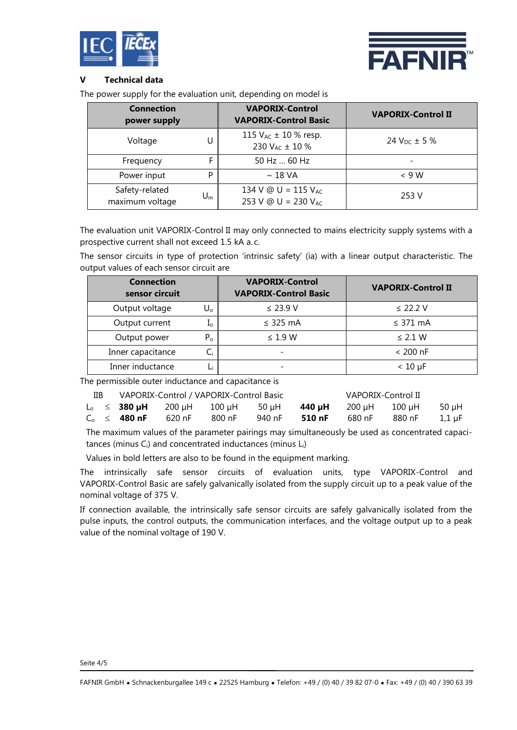



## **V Technical data**

The power supply for the evaluation unit, depending on model is

| <b>Connection</b><br>power supply |                           | <b>VAPORIX-Control</b><br><b>VAPORIX-Control Basic</b>             | <b>VAPORIX-Control II</b> |  |
|-----------------------------------|---------------------------|--------------------------------------------------------------------|---------------------------|--|
| Voltage                           |                           | 115 $V_{AC}$ ± 10 % resp.<br>230 V <sub>AC</sub> ± 10 %            | 24 $V_{DC}$ ± 5 %         |  |
| Frequency                         | F                         | 50 Hz  60 Hz                                                       |                           |  |
| Power input                       | P                         | $\sim$ 18 VA                                                       | $< 9$ W                   |  |
| Safety-related<br>maximum voltage | $\mathsf{U}_{\mathsf{m}}$ | 134 V @ U = 115 V <sub>AC</sub><br>253 V @ U = 230 V <sub>AC</sub> | 253 V                     |  |

The evaluation unit VAPORIX-Control II may only connected to mains electricity supply systems with a prospective current shall not exceed 1.5 kA a.c.

The sensor circuits in type of protection 'intrinsic safety' (ia) with a linear output characteristic. The output values of each sensor circuit are

| <b>Connection</b><br>sensor circuit |       | <b>VAPORIX-Control</b><br><b>VAPORIX-Control Basic</b> | <b>VAPORIX-Control II</b> |
|-------------------------------------|-------|--------------------------------------------------------|---------------------------|
| Output voltage                      | U۵    | $\leq$ 23.9 V                                          | $\leq$ 22.2 V             |
| Output current                      | ⊥ი    | $\leq$ 325 mA                                          | $\leq$ 371 mA             |
| Output power                        | $P_0$ | $\leq$ 1.9 W                                           | $\leq$ 2.1 W              |
| Inner capacitance                   | Ci    | $\overline{\phantom{0}}$                               | $< 200$ nF                |
| Inner inductance                    |       |                                                        | $< 10 \mu F$              |

The permissible outer inductance and capacitance is

| IIВ | VAPORIX-Control / VAPORIX-Control Basic |                                                      |        |         | VAPORIX-Control II |                             |        |        |
|-----|-----------------------------------------|------------------------------------------------------|--------|---------|--------------------|-----------------------------|--------|--------|
|     |                                         | $L_0 \leq 380 \,\mu\text{H}$ 200 $\mu$ H 100 $\mu$ H |        | – 50 uH |                    | <b>440 uH</b> 200 uH 100 uH |        | -50 uH |
|     | $C_0 \leq 480$ nF                       | 620 nF                                               | 800 nF | 940 nF  | 510 nF             | 680 nF                      | 880 nF | 1.1 uF |

The maximum values of the parameter pairings may simultaneously be used as concentrated capacitances (minus  $C_i$ ) and concentrated inductances (minus  $L_i$ )

Values in bold letters are also to be found in the equipment marking.

The intrinsically safe sensor circuits of evaluation units, type VAPORIX-Control and VAPORIX-Control Basic are safely galvanically isolated from the supply circuit up to a peak value of the nominal voltage of 375 V.

If connection available, the intrinsically safe sensor circuits are safely galvanically isolated from the pulse inputs, the control outputs, the communication interfaces, and the voltage output up to a peak value of the nominal voltage of 190 V.